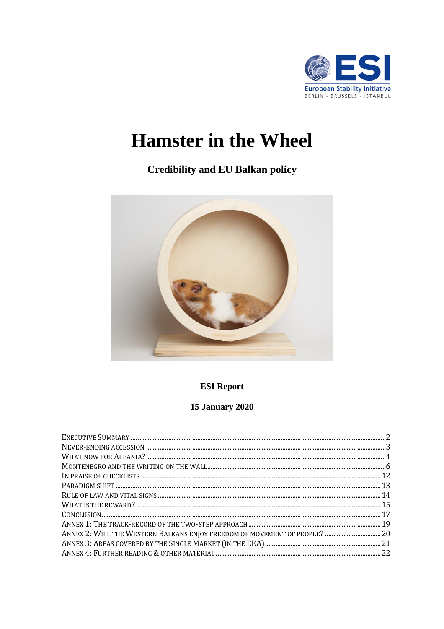

# **Hamster in the Wheel**

# **Credibility and EU Balkan policy**



**ESI Report** 

# **15 January 2020**

| ANNEX 2: WILL THE WESTERN BALKANS ENJOY FREEDOM OF MOVEMENT OF PEOPLE? 20 |  |
|---------------------------------------------------------------------------|--|
|                                                                           |  |
|                                                                           |  |
|                                                                           |  |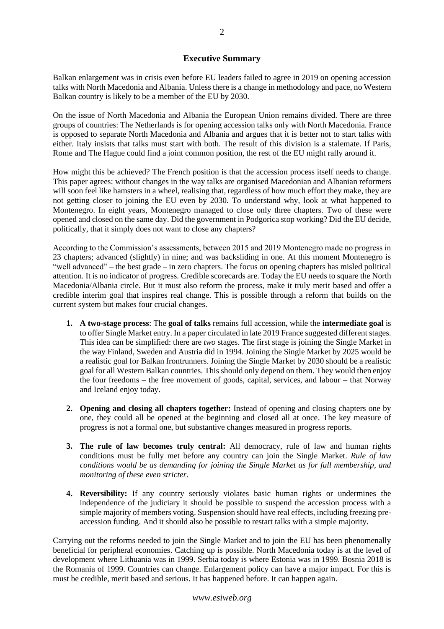#### **Executive Summary**

<span id="page-1-0"></span>Balkan enlargement was in crisis even before EU leaders failed to agree in 2019 on opening accession talks with North Macedonia and Albania. Unless there is a change in methodology and pace, no Western Balkan country is likely to be a member of the EU by 2030.

On the issue of North Macedonia and Albania the European Union remains divided. There are three groups of countries: The Netherlands is for opening accession talks only with North Macedonia. France is opposed to separate North Macedonia and Albania and argues that it is better not to start talks with either. Italy insists that talks must start with both. The result of this division is a stalemate. If Paris, Rome and The Hague could find a joint common position, the rest of the EU might rally around it.

How might this be achieved? The French position is that the accession process itself needs to change. This paper agrees: without changes in the way talks are organised Macedonian and Albanian reformers will soon feel like hamsters in a wheel, realising that, regardless of how much effort they make, they are not getting closer to joining the EU even by 2030. To understand why, look at what happened to Montenegro. In eight years, Montenegro managed to close only three chapters. Two of these were opened and closed on the same day. Did the government in Podgorica stop working? Did the EU decide, politically, that it simply does not want to close any chapters?

According to the Commission's assessments, between 2015 and 2019 Montenegro made no progress in 23 chapters; advanced (slightly) in nine; and was backsliding in one. At this moment Montenegro is "well advanced" – the best grade – in zero chapters. The focus on opening chapters has misled political attention. It is no indicator of progress. Credible scorecards are. Today the EU needs to square the North Macedonia/Albania circle. But it must also reform the process, make it truly merit based and offer a credible interim goal that inspires real change. This is possible through a reform that builds on the current system but makes four crucial changes.

- **1. A two-stage process**: The **goal of talks** remains full accession, while the **intermediate goal** is to offer Single Market entry. In a paper circulated in late 2019 France suggested different stages. This idea can be simplified: there are *two* stages. The first stage is joining the Single Market in the way Finland, Sweden and Austria did in 1994. Joining the Single Market by 2025 would be a realistic goal for Balkan frontrunners. Joining the Single Market by 2030 should be a realistic goal for all Western Balkan countries. This should only depend on them. They would then enjoy the four freedoms – the free movement of goods, capital, services, and labour – that Norway and Iceland enjoy today.
- **2. Opening and closing all chapters together:** Instead of opening and closing chapters one by one, they could all be opened at the beginning and closed all at once. The key measure of progress is not a formal one, but substantive changes measured in progress reports.
- **3. The rule of law becomes truly central:** All democracy, rule of law and human rights conditions must be fully met before any country can join the Single Market. *Rule of law conditions would be as demanding for joining the Single Market as for full membership, and monitoring of these even stricter*.
- **4. Reversibility:** If any country seriously violates basic human rights or undermines the independence of the judiciary it should be possible to suspend the accession process with a simple majority of members voting. Suspension should have real effects, including freezing preaccession funding. And it should also be possible to restart talks with a simple majority.

Carrying out the reforms needed to join the Single Market and to join the EU has been phenomenally beneficial for peripheral economies. Catching up is possible. North Macedonia today is at the level of development where Lithuania was in 1999. Serbia today is where Estonia was in 1999. Bosnia 2018 is the Romania of 1999. Countries can change. Enlargement policy can have a major impact. For this is must be credible, merit based and serious. It has happened before. It can happen again.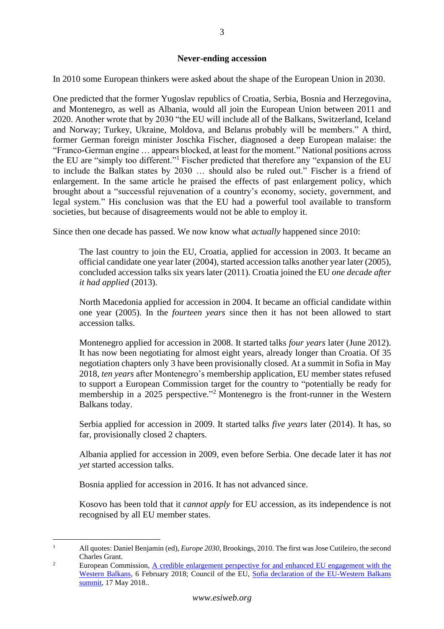# **Never-ending accession**

<span id="page-2-0"></span>In 2010 some European thinkers were asked about the shape of the European Union in 2030.

One predicted that the former Yugoslav republics of Croatia, Serbia, Bosnia and Herzegovina, and Montenegro, as well as Albania, would all join the European Union between 2011 and 2020. Another wrote that by 2030 "the EU will include all of the Balkans, Switzerland, Iceland and Norway; Turkey, Ukraine, Moldova, and Belarus probably will be members." A third, former German foreign minister Joschka Fischer, diagnosed a deep European malaise: the "Franco-German engine … appears blocked, at least for the moment." National positions across the EU are "simply too different."<sup>1</sup> Fischer predicted that therefore any "expansion of the EU to include the Balkan states by 2030 … should also be ruled out." Fischer is a friend of enlargement. In the same article he praised the effects of past enlargement policy, which brought about a "successful rejuvenation of a country's economy, society, government, and legal system." His conclusion was that the EU had a powerful tool available to transform societies, but because of disagreements would not be able to employ it.

Since then one decade has passed. We now know what *actually* happened since 2010:

The last country to join the EU, Croatia, applied for accession in 2003. It became an official candidate one year later (2004), started accession talks another year later (2005), concluded accession talks six years later (2011). Croatia joined the EU *one decade after it had applied* (2013).

North Macedonia applied for accession in 2004. It became an official candidate within one year (2005). In the *fourteen years* since then it has not been allowed to start accession talks.

Montenegro applied for accession in 2008. It started talks *four years* later (June 2012). It has now been negotiating for almost eight years, already longer than Croatia. Of 35 negotiation chapters only 3 have been provisionally closed. At a summit in Sofia in May 2018, *ten years* after Montenegro's membership application, EU member states refused to support a European Commission target for the country to "potentially be ready for membership in a 2025 perspective."<sup>2</sup> Montenegro is the front-runner in the Western Balkans today.

Serbia applied for accession in 2009. It started talks *five years* later (2014). It has, so far, provisionally closed 2 chapters.

Albania applied for accession in 2009, even before Serbia. One decade later it has *not yet* started accession talks.

Bosnia applied for accession in 2016. It has not advanced since.

Kosovo has been told that it *cannot apply* for EU accession, as its independence is not recognised by all EU member states.

<sup>&</sup>lt;sup>1</sup> All quotes: Daniel Benjamin (ed), *Europe 2030*, Brookings, 2010. The first was Jose Cutileiro, the second Charles Grant.

<sup>&</sup>lt;sup>2</sup> European Commission, <u>A credible enlargement perspective for and enhanced EU engagement with the</u> [Western Balkans,](https://ec.europa.eu/commission/sites/beta-political/files/communication-credible-enlargement-perspective-western-balkans_en.pdf) 6 February 2018; Council of the EU, [Sofia declaration of the EU-Western Balkans](https://www.consilium.europa.eu/en/press/press-releases/2018/05/17/sofia-declaration-of-the-eu-western-balkans-summit/)  [summit,](https://www.consilium.europa.eu/en/press/press-releases/2018/05/17/sofia-declaration-of-the-eu-western-balkans-summit/) 17 May 2018..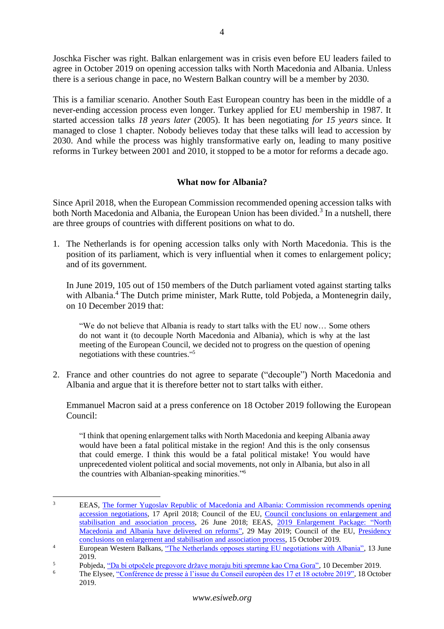Joschka Fischer was right. Balkan enlargement was in crisis even before EU leaders failed to agree in October 2019 on opening accession talks with North Macedonia and Albania. Unless there is a serious change in pace, no Western Balkan country will be a member by 2030.

This is a familiar scenario. Another South East European country has been in the middle of a never-ending accession process even longer. Turkey applied for EU membership in 1987. It started accession talks *18 years later* (2005). It has been negotiating *for 15 years* since. It managed to close 1 chapter. Nobody believes today that these talks will lead to accession by 2030. And while the process was highly transformative early on, leading to many positive reforms in Turkey between 2001 and 2010, it stopped to be a motor for reforms a decade ago.

# **What now for Albania?**

<span id="page-3-0"></span>Since April 2018, when the European Commission recommended opening accession talks with both North Macedonia and Albania, the European Union has been divided.<sup>3</sup> In a nutshell, there are three groups of countries with different positions on what to do.

1. The Netherlands is for opening accession talks only with North Macedonia. This is the position of its parliament, which is very influential when it comes to enlargement policy; and of its government.

In June 2019, 105 out of 150 members of the Dutch parliament voted against starting talks with Albania.<sup>4</sup> The Dutch prime minister, Mark Rutte, told Pobjeda, a Montenegrin daily, on 10 December 2019 that:

"We do not believe that Albania is ready to start talks with the EU now… Some others do not want it (to decouple North Macedonia and Albania), which is why at the last meeting of the European Council, we decided not to progress on the question of opening negotiations with these countries." 5

2. France and other countries do not agree to separate ("decouple") North Macedonia and Albania and argue that it is therefore better not to start talks with either.

Emmanuel Macron said at a press conference on 18 October 2019 following the European Council:

"I think that opening enlargement talks with North Macedonia and keeping Albania away would have been a fatal political mistake in the region! And this is the only consensus that could emerge. I think this would be a fatal political mistake! You would have unprecedented violent political and social movements, not only in Albania, but also in all the countries with Albanian-speaking minorities."<sup>6</sup>

<sup>&</sup>lt;sup>3</sup> EEAS, The former Yugoslav Republic of Macedonia and Albania: Commission recommends opening [accession negotiations,](https://eeas.europa.eu/headquarters/headquarters-Homepage/43084/former-yugoslav-republic-macedonia-and-albania-commission-recommends-opening-accession_en) 17 April 2018; Council of the EU, [Council conclusions on enlargement and](https://www.consilium.europa.eu/en/press/press-releases/2018/06/26/council-conclusions-on-enlargement-and-stabilisation-and-association-process/)  [stabilisation and association process,](https://www.consilium.europa.eu/en/press/press-releases/2018/06/26/council-conclusions-on-enlargement-and-stabilisation-and-association-process/) 26 June 2018; EEAS, [2019 Enlargement Package: "North](https://eeas.europa.eu/headquarters/headquarters-homepage/63405/2019-enlargement-package-north-macedonia-and-albania-have-delivered-reforms-says-mogherini_fr)  [Macedonia and Albania have delivered on reforms",](https://eeas.europa.eu/headquarters/headquarters-homepage/63405/2019-enlargement-package-north-macedonia-and-albania-have-delivered-reforms-says-mogherini_fr) 29 May 2019; Council of the EU, Presidency [conclusions on enlargement and stabilisation and association process,](https://www.consilium.europa.eu/en/press/press-releases/2019/10/15/presidency-conclusions/) 15 October 2019.

<sup>&</sup>lt;sup>4</sup> European Western Balkans, <u>"The Netherlands opposes starting EU negotiations with Albania", 13 June</u> 2019.

<sup>&</sup>lt;sup>5</sup> Pobjeda, <u>"Da bi otpočele pregovore države moraju biti spremne kao Crna Gora", 10 December 2019.<br>The Elysee "Conférence de presse è l'issue du Conseil auropéen des 17 et 18 octobre 2010", 18 Octob</u>

The Elysee, ["Conférence de presse à l'issue du Conseil européen des 17 et 18 octobre 2019",](https://www.elysee.fr/emmanuel-macron/2019/10/18/conference-de-presse-a-lissue-du-conseil-europeen-des-17-et-18-octobre-2019) 18 October 2019.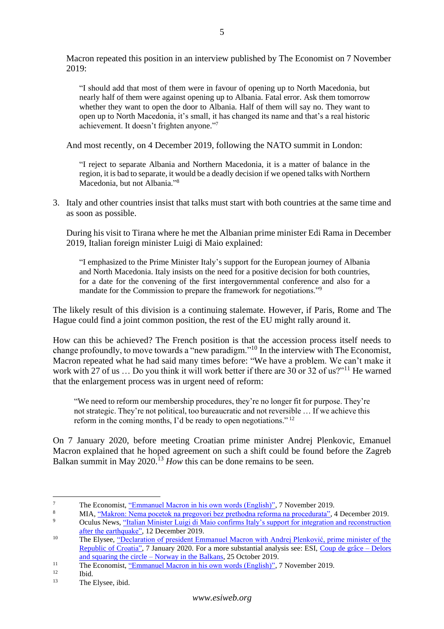Macron repeated this position in an interview published by The Economist on 7 November 2019:

"I should add that most of them were in favour of opening up to North Macedonia, but nearly half of them were against opening up to Albania. Fatal error. Ask them tomorrow whether they want to open the door to Albania. Half of them will say no. They want to open up to North Macedonia, it's small, it has changed its name and that's a real historic achievement. It doesn't frighten anyone." 7

And most recently, on 4 December 2019, following the NATO summit in London:

"I reject to separate Albania and Northern Macedonia, it is a matter of balance in the region, it is bad to separate, it would be a deadly decision if we opened talks with Northern Macedonia, but not Albania." 8

3. Italy and other countries insist that talks must start with both countries at the same time and as soon as possible.

During his visit to Tirana where he met the Albanian prime minister Edi Rama in December 2019, Italian foreign minister Luigi di Maio explained:

"I emphasized to the Prime Minister Italy's support for the European journey of Albania and North Macedonia. Italy insists on the need for a positive decision for both countries, for a date for the convening of the first intergovernmental conference and also for a mandate for the Commission to prepare the framework for negotiations."<sup>9</sup>

The likely result of this division is a continuing stalemate. However, if Paris, Rome and The Hague could find a joint common position, the rest of the EU might rally around it.

How can this be achieved? The French position is that the accession process itself needs to change profoundly, to move towards a "new paradigm."<sup>10</sup> In the interview with The Economist, Macron repeated what he had said many times before: "We have a problem. We can't make it work with 27 of us ... Do you think it will work better if there are 30 or 32 of us?"<sup>11</sup> He warned that the enlargement process was in urgent need of reform:

"We need to reform our membership procedures, they're no longer fit for purpose. They're not strategic. They're not political, too bureaucratic and not reversible … If we achieve this reform in the coming months, I'd be ready to open negotiations." <sup>12</sup>

On 7 January 2020, before meeting Croatian prime minister Andrej Plenkovic, Emanuel Macron explained that he hoped agreement on such a shift could be found before the Zagreb Balkan summit in May  $2020$ <sup>13</sup> *How* this can be done remains to be seen.

<sup>&</sup>lt;sup>7</sup> The Economist, <u>"Emmanuel Macron in his own words (English)"</u>, 7 November 2019.

<sup>&</sup>lt;sup>8</sup> MIA, <u>"Makron: Nema pocetok na pregovori bez prethodna reforma na procedurata", 4 December 2019.<br><sup>9</sup> Oculus Navy, "Italian Minister Luigi di Majo confirms Italy's support for integration and reconstruction</u>

<sup>9</sup> Oculus News, ["Italian Minister Luigi di Maio confirms Italy's support for integration and reconstruction](https://www.ocnal.com/2019/12/italian-minister-luigi-di-maio-confirms.html)  [after the earthquake",](https://www.ocnal.com/2019/12/italian-minister-luigi-di-maio-confirms.html) 12 December 2019.

<sup>&</sup>lt;sup>10</sup> The Elysee, "Declaration of president Emmanuel Macron with Andrej Plenković, prime minister of the [Republic of Croatia",](https://www.elysee.fr/emmanuel-macron/2020/01/07/declaration-du-president-de-la-republique-avec-andrej-plenkovic-premier-ministre-de-la-republique-de-croatie) 7 January 2020. For a more substantial analysis see: ESI, [Coup de grâce –](https://www.esiweb.org/pdf/ESI%20-%20Coup%20de%20grace%20-%2025%20October%202019.pdf) Delors [and squaring the circle –](https://www.esiweb.org/pdf/ESI%20-%20Coup%20de%20grace%20-%2025%20October%202019.pdf) Norway in the Balkans, 25 October 2019.

<sup>&</sup>lt;sup>11</sup> The Economist, <u>"Emmanuel Macron in his own words (English)"</u>, 7 November 2019.

 $\frac{12}{13}$  Ibid.

The Elysee, ibid.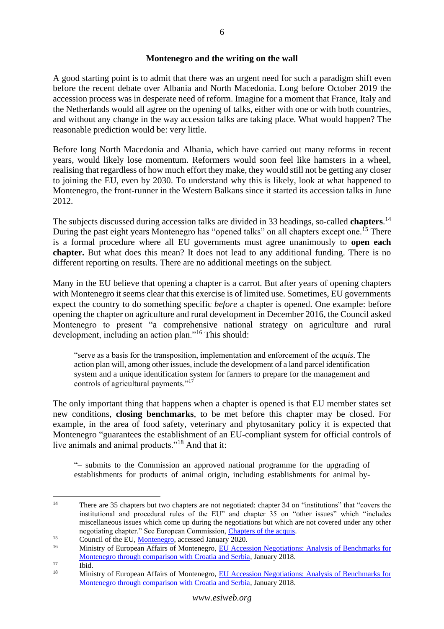# **Montenegro and the writing on the wall**

<span id="page-5-0"></span>A good starting point is to admit that there was an urgent need for such a paradigm shift even before the recent debate over Albania and North Macedonia. Long before October 2019 the accession process was in desperate need of reform. Imagine for a moment that France, Italy and the Netherlands would all agree on the opening of talks, either with one or with both countries, and without any change in the way accession talks are taking place. What would happen? The reasonable prediction would be: very little.

Before long North Macedonia and Albania, which have carried out many reforms in recent years, would likely lose momentum. Reformers would soon feel like hamsters in a wheel, realising that regardless of how much effort they make, they would still not be getting any closer to joining the EU, even by 2030. To understand why this is likely, look at what happened to Montenegro, the front-runner in the Western Balkans since it started its accession talks in June 2012.

The subjects discussed during accession talks are divided in 33 headings, so-called **chapters**. 14 During the past eight years Montenegro has "opened talks" on all chapters except one.<sup>15</sup> There is a formal procedure where all EU governments must agree unanimously to **open each chapter.** But what does this mean? It does not lead to any additional funding. There is no different reporting on results. There are no additional meetings on the subject.

Many in the EU believe that opening a chapter is a carrot. But after years of opening chapters with Montenegro it seems clear that this exercise is of limited use. Sometimes, EU governments expect the country to do something specific *before* a chapter is opened. One example: before opening the chapter on agriculture and rural development in December 2016, the Council asked Montenegro to present "a comprehensive national strategy on agriculture and rural development, including an action plan."<sup>16</sup> This should:

"serve as a basis for the transposition, implementation and enforcement of the *acquis*. The action plan will, among other issues, include the development of a land parcel identification system and a unique identification system for farmers to prepare for the management and controls of agricultural payments."<sup>17</sup>

The only important thing that happens when a chapter is opened is that EU member states set new conditions, **closing benchmarks**, to be met before this chapter may be closed. For example, in the area of food safety, veterinary and phytosanitary policy it is expected that Montenegro "guarantees the establishment of an EU-compliant system for official controls of live animals and animal products."<sup>18</sup> And that it:

"– submits to the Commission an approved national programme for the upgrading of establishments for products of animal origin, including establishments for animal by-

 $\frac{17}{18}$  Ibid.

<sup>14</sup> There are 35 chapters but two chapters are not negotiated: chapter 34 on "institutions" that "covers the institutional and procedural rules of the EU" and chapter 35 on "other issues" which "includes miscellaneous issues which come up during the negotiations but which are not covered under any other negotiating chapter." See European Commission, [Chapters of the acquis.](https://ec.europa.eu/neighbourhood-enlargement/policy/conditions-membership/chapters-of-the-acquis_en)

<sup>&</sup>lt;sup>15</sup> Council of the EU, <u>Montenegro</u>, accessed January 2020.

<sup>16</sup> Ministry of European Affairs of Montenegro, [EU Accession Negotiations: Analysis of Benchmarks for](https://www.google.com/url?sa=t&rct=j&q=&esrc=s&source=web&cd=1&cad=rja&uact=8&ved=2ahUKEwj7sYPK84DnAhUKjqQKHdseABMQFjAAegQIAxAC&url=http%3A%2F%2Fwww.kei.gov.me%2FResourceManager%2FFileDownload.aspx%3Frid%3D326271%26rType%3D2%26file%3DK.A.%20Eng.pdf&usg=AOvVaw1Nr_FHNzECvMGKAxBnQ0xi)  [Montenegro through comparison with Croatia and Serbia,](https://www.google.com/url?sa=t&rct=j&q=&esrc=s&source=web&cd=1&cad=rja&uact=8&ved=2ahUKEwj7sYPK84DnAhUKjqQKHdseABMQFjAAegQIAxAC&url=http%3A%2F%2Fwww.kei.gov.me%2FResourceManager%2FFileDownload.aspx%3Frid%3D326271%26rType%3D2%26file%3DK.A.%20Eng.pdf&usg=AOvVaw1Nr_FHNzECvMGKAxBnQ0xi) January 2018.

<sup>18</sup> Ministry of European Affairs of Montenegro, [EU Accession Negotiations: Analysis of Benchmarks for](https://www.google.com/url?sa=t&rct=j&q=&esrc=s&source=web&cd=1&cad=rja&uact=8&ved=2ahUKEwj7sYPK84DnAhUKjqQKHdseABMQFjAAegQIAxAC&url=http%3A%2F%2Fwww.kei.gov.me%2FResourceManager%2FFileDownload.aspx%3Frid%3D326271%26rType%3D2%26file%3DK.A.%20Eng.pdf&usg=AOvVaw1Nr_FHNzECvMGKAxBnQ0xi)  [Montenegro through comparison with Croatia and Serbia,](https://www.google.com/url?sa=t&rct=j&q=&esrc=s&source=web&cd=1&cad=rja&uact=8&ved=2ahUKEwj7sYPK84DnAhUKjqQKHdseABMQFjAAegQIAxAC&url=http%3A%2F%2Fwww.kei.gov.me%2FResourceManager%2FFileDownload.aspx%3Frid%3D326271%26rType%3D2%26file%3DK.A.%20Eng.pdf&usg=AOvVaw1Nr_FHNzECvMGKAxBnQ0xi) January 2018.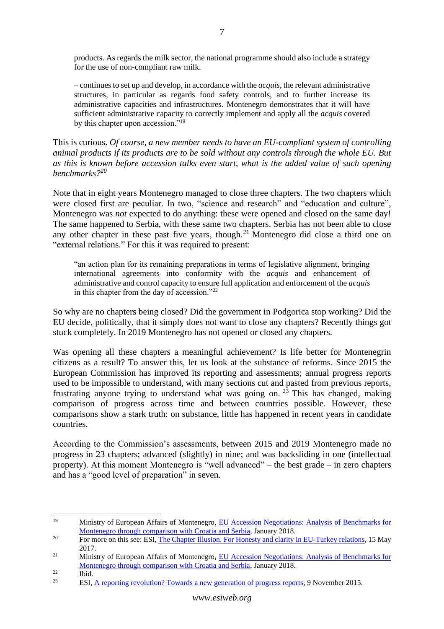products. As regards the milk sector, the national programme should also include a strategy for the use of non-compliant raw milk.

– continues to set up and develop, in accordance with the *acquis*, the relevant administrative structures, in particular as regards food safety controls, and to further increase its administrative capacities and infrastructures. Montenegro demonstrates that it will have sufficient administrative capacity to correctly implement and apply all the *acquis* covered by this chapter upon accession."<sup>19</sup>

This is curious. *Of course, a new member needs to have an EU-compliant system of controlling animal products if its products are to be sold without any controls through the whole EU. But as this is known before accession talks even start, what is the added value of such opening benchmarks? 20*

Note that in eight years Montenegro managed to close three chapters. The two chapters which were closed first are peculiar. In two, "science and research" and "education and culture", Montenegro was *not* expected to do anything: these were opened and closed on the same day! The same happened to Serbia, with these same two chapters. Serbia has not been able to close any other chapter in these past five years, though.<sup>21</sup> Montenegro did close a third one on "external relations." For this it was required to present:

"an action plan for its remaining preparations in terms of legislative alignment, bringing international agreements into conformity with the *acquis* and enhancement of administrative and control capacity to ensure full application and enforcement of the *acquis*  in this chapter from the day of accession."<sup>22</sup>

So why are no chapters being closed? Did the government in Podgorica stop working? Did the EU decide, politically, that it simply does not want to close any chapters? Recently things got stuck completely. In 2019 Montenegro has not opened or closed any chapters.

Was opening all these chapters a meaningful achievement? Is life better for Montenegrin citizens as a result? To answer this, let us look at the substance of reforms. Since 2015 the European Commission has improved its reporting and assessments; annual progress reports used to be impossible to understand, with many sections cut and pasted from previous reports, frustrating anyone trying to understand what was going on.<sup>23</sup> This has changed, making comparison of progress across time and between countries possible. However, these comparisons show a stark truth: on substance, little has happened in recent years in candidate countries.

According to the Commission's assessments, between 2015 and 2019 Montenegro made no progress in 23 chapters; advanced (slightly) in nine; and was backsliding in one (intellectual property). At this moment Montenegro is "well advanced" – the best grade – in zero chapters and has a "good level of preparation" in seven.

<sup>19</sup> Ministry of European Affairs of Montenegro, [EU Accession Negotiations: Analysis of Benchmarks for](https://www.google.com/url?sa=t&rct=j&q=&esrc=s&source=web&cd=1&cad=rja&uact=8&ved=2ahUKEwj7sYPK84DnAhUKjqQKHdseABMQFjAAegQIAxAC&url=http%3A%2F%2Fwww.kei.gov.me%2FResourceManager%2FFileDownload.aspx%3Frid%3D326271%26rType%3D2%26file%3DK.A.%20Eng.pdf&usg=AOvVaw1Nr_FHNzECvMGKAxBnQ0xi)  [Montenegro through comparison with Croatia and Serbia,](https://www.google.com/url?sa=t&rct=j&q=&esrc=s&source=web&cd=1&cad=rja&uact=8&ved=2ahUKEwj7sYPK84DnAhUKjqQKHdseABMQFjAAegQIAxAC&url=http%3A%2F%2Fwww.kei.gov.me%2FResourceManager%2FFileDownload.aspx%3Frid%3D326271%26rType%3D2%26file%3DK.A.%20Eng.pdf&usg=AOvVaw1Nr_FHNzECvMGKAxBnQ0xi) January 2018.

<sup>&</sup>lt;sup>20</sup> For more on this see: ESI, [The Chapter Illusion. For Honesty and clarity in EU-Turkey relations,](https://www.esiweb.org/pdf/ESI%20-%20The%20Turkey%20chapter%20illusion%20-%2015%20May%202017.pdf) 15 May 2017.

<sup>&</sup>lt;sup>21</sup> Ministry of European Affairs of Montenegro, EU Accession Negotiations: Analysis of Benchmarks for [Montenegro through comparison with Croatia and Serbia,](https://www.google.com/url?sa=t&rct=j&q=&esrc=s&source=web&cd=1&cad=rja&uact=8&ved=2ahUKEwj7sYPK84DnAhUKjqQKHdseABMQFjAAegQIAxAC&url=http%3A%2F%2Fwww.kei.gov.me%2FResourceManager%2FFileDownload.aspx%3Frid%3D326271%26rType%3D2%26file%3DK.A.%20Eng.pdf&usg=AOvVaw1Nr_FHNzECvMGKAxBnQ0xi) January 2018.

 $\frac{22}{23}$  Ibid.

<sup>23</sup> ESI, [A reporting revolution? Towards a new generation of progress reports,](https://esiweb.org/reporting-revolution-towards-new-generation-progress-reports) 9 November 2015.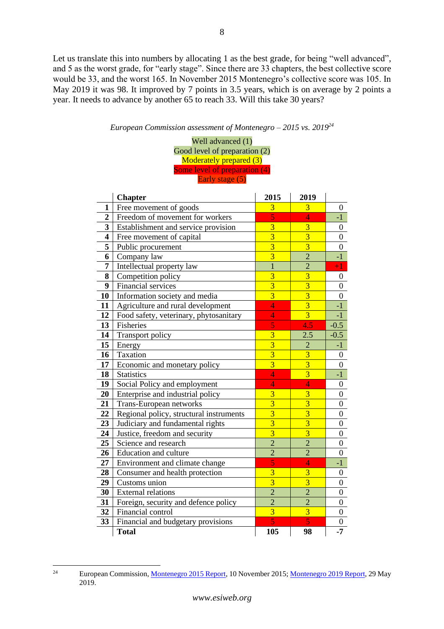Let us translate this into numbers by allocating 1 as the best grade, for being "well advanced", and 5 as the worst grade, for "early stage". Since there are 33 chapters, the best collective score would be 33, and the worst 165. In November 2015 Montenegro's collective score was 105. In May 2019 it was 98. It improved by 7 points in 3.5 years, which is on average by 2 points a year. It needs to advance by another 65 to reach 33. Will this take 30 years?

# *European Commission assessment of Montenegro – 2015 vs. 2019<sup>24</sup>*

Well advanced (1) Good level of preparation (2) Moderately prepared (3) Some level of preparation (4) Early stage (5)

|                         | <b>Chapter</b>                          | 2015                    | 2019           |                  |
|-------------------------|-----------------------------------------|-------------------------|----------------|------------------|
| 1                       | Free movement of goods                  | 3                       | 3              | $\boldsymbol{0}$ |
| $\overline{2}$          | Freedom of movement for workers         |                         | $\overline{4}$ | $-1$             |
| 3                       | Establishment and service provision     | $\overline{3}$          | $\overline{3}$ | $\boldsymbol{0}$ |
| $\overline{\mathbf{4}}$ | Free movement of capital                | $\overline{3}$          | $\overline{3}$ | $\boldsymbol{0}$ |
| 5                       | Public procurement                      | $\overline{3}$          | $\overline{3}$ | $\overline{0}$   |
| 6                       | Company law                             | $\overline{3}$          | $\overline{2}$ | $-1$             |
| 7                       | Intellectual property law               | $\overline{1}$          | $\overline{2}$ | $+1$             |
| 8                       | Competition policy                      | $\overline{3}$          | $\overline{3}$ | $\overline{0}$   |
| 9                       | Financial services                      | $\overline{3}$          | $\overline{3}$ | $\overline{0}$   |
| 10                      | Information society and media           | $\overline{3}$          | $\overline{3}$ | $\boldsymbol{0}$ |
| 11                      | Agriculture and rural development       | $\overline{4}$          | $\overline{3}$ | $-1$             |
| 12                      | Food safety, veterinary, phytosanitary  | 4                       | $\overline{3}$ | $-1$             |
| 13                      | Fisheries                               | 5                       | 4.5            | $-0.5$           |
| 14                      | Transport policy                        | $\overline{3}$          | 2.5            | $-0.5$           |
| 15                      | Energy                                  | $\overline{3}$          | $\overline{2}$ | $-1$             |
| 16                      | Taxation                                | $\overline{\mathbf{3}}$ | $\overline{3}$ | $\boldsymbol{0}$ |
| 17                      | Economic and monetary policy            | $\overline{3}$          | $\overline{3}$ | $\overline{0}$   |
| 18                      | <b>Statistics</b>                       | $\overline{4}$          | $\overline{3}$ | $-1$             |
| 19                      | Social Policy and employment            | 4                       | $\overline{4}$ | $\boldsymbol{0}$ |
| 20                      | Enterprise and industrial policy        | $\overline{\mathbf{3}}$ | $\overline{3}$ | $\boldsymbol{0}$ |
| 21                      | Trans-European networks                 | $\overline{3}$          | $\overline{3}$ | $\boldsymbol{0}$ |
| 22                      | Regional policy, structural instruments | $\overline{3}$          | $\overline{3}$ | $\boldsymbol{0}$ |
| 23                      | Judiciary and fundamental rights        | $\overline{3}$          | $\overline{3}$ | $\boldsymbol{0}$ |
| 24                      | Justice, freedom and security           | $\overline{3}$          | $\overline{3}$ | $\boldsymbol{0}$ |
| 25                      | Science and research                    | $\overline{2}$          | $\overline{2}$ | $\overline{0}$   |
| 26                      | Education and culture                   | $\overline{2}$          | $\overline{2}$ | $\overline{0}$   |
| 27                      | Environment and climate change          | 5                       | $\overline{4}$ | $-1$             |
| 28                      | Consumer and health protection          |                         | $\overline{3}$ | $\boldsymbol{0}$ |
| 29                      | Customs union                           | $\overline{3}$          | $\overline{3}$ | $\overline{0}$   |
| 30                      | <b>External relations</b>               | $\overline{2}$          | $\overline{2}$ | $\boldsymbol{0}$ |
| 31                      | Foreign, security and defence policy    | $\overline{2}$          | $\overline{2}$ | $\boldsymbol{0}$ |
| 32                      | Financial control                       | $\overline{3}$          | $\overline{3}$ | $\boldsymbol{0}$ |
| 33                      | Financial and budgetary provisions      | 5                       | $\overline{5}$ | $\boldsymbol{0}$ |
|                         | <b>Total</b>                            | 105                     | 98             | $-7$             |

<sup>&</sup>lt;sup>24</sup> European Commission, [Montenegro 2015 Report,](https://ec.europa.eu/neighbourhood-enlargement/sites/near/files/pdf/key_documents/2015/20151110_report_montenegro.pdf) 10 November 2015[; Montenegro 2019 Report,](https://ec.europa.eu/neighbourhood-enlargement/sites/near/files/20190529-montenegro-report.pdf) 29 May 2019.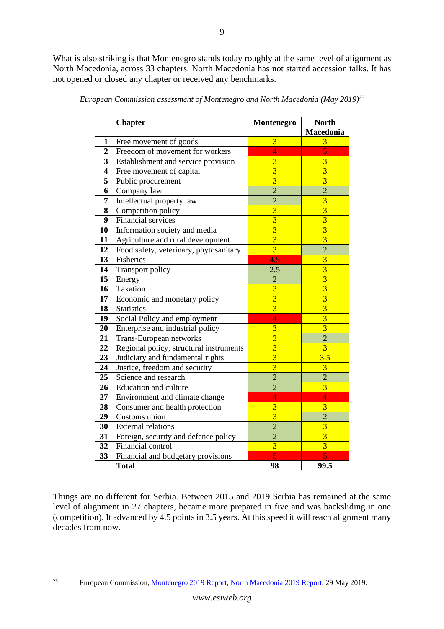What is also striking is that Montenegro stands today roughly at the same level of alignment as North Macedonia, across 33 chapters. North Macedonia has not started accession talks. It has not opened or closed any chapter or received any benchmarks.

|                         | <b>Chapter</b>                          | Montenegro     | <b>North</b><br><b>Macedonia</b> |
|-------------------------|-----------------------------------------|----------------|----------------------------------|
| $\mathbf{1}$            | Free movement of goods                  | $\overline{3}$ | 3                                |
| $\boldsymbol{2}$        | Freedom of movement for workers         | $\overline{4}$ | 5                                |
| $\overline{\mathbf{3}}$ | Establishment and service provision     | $\overline{3}$ | $\overline{3}$                   |
| $\overline{\mathbf{4}}$ | Free movement of capital                | $\overline{3}$ | $\overline{3}$                   |
| 5                       | Public procurement                      | $\overline{3}$ | $\overline{3}$                   |
| 6                       | Company law                             | $\overline{2}$ | $\overline{2}$                   |
| $\overline{7}$          | Intellectual property law               | $\overline{2}$ | $\overline{3}$                   |
| 8                       | Competition policy                      | $\overline{3}$ | $\overline{3}$                   |
| $\overline{9}$          | <b>Financial services</b>               | $\overline{3}$ | $\overline{3}$                   |
| 10                      | Information society and media           | $\overline{3}$ | $\overline{3}$                   |
| 11                      | Agriculture and rural development       | $\overline{3}$ | $\overline{3}$                   |
| 12                      | Food safety, veterinary, phytosanitary  | $\overline{3}$ | $\overline{2}$                   |
| 13                      | <b>Fisheries</b>                        | 4.5            | $\overline{3}$                   |
| 14                      | Transport policy                        | 2.5            | $\overline{3}$                   |
| 15                      | Energy                                  | $\overline{2}$ | $\overline{3}$                   |
| 16                      | Taxation                                | $\overline{3}$ | $\overline{3}$                   |
| 17                      | Economic and monetary policy            | $\overline{3}$ | $\overline{3}$                   |
| 18                      | <b>Statistics</b>                       | $\overline{3}$ | $\overline{3}$                   |
| 19                      | Social Policy and employment            | $\overline{4}$ | $\overline{3}$                   |
| 20                      | Enterprise and industrial policy        | $\overline{3}$ | $\overline{3}$                   |
| 21                      | Trans-European networks                 | $\overline{3}$ | $\overline{2}$                   |
| 22                      | Regional policy, structural instruments | $\overline{3}$ | $\overline{3}$                   |
| 23                      | Judiciary and fundamental rights        | $\overline{3}$ | 3.5                              |
| 24                      | Justice, freedom and security           | $\overline{3}$ | 3                                |
| 25                      | Science and research                    | $\overline{2}$ | $\overline{2}$                   |
| 26                      | Education and culture                   | $\overline{2}$ | $\overline{3}$                   |
| $27\,$                  | Environment and climate change          | 4              | $\overline{4}$                   |
| 28                      | Consumer and health protection          | $\overline{3}$ | $\overline{3}$                   |
| 29                      | Customs union                           | $\overline{3}$ | $\overline{2}$                   |
| 30                      | <b>External relations</b>               | $\overline{2}$ | $\overline{\mathbf{3}}$          |
| 31                      | Foreign, security and defence policy    | $\overline{2}$ | $\overline{3}$                   |
| 32                      | Financial control                       | $\overline{3}$ | $\overline{3}$                   |
| 33                      | Financial and budgetary provisions      | 5              | 5                                |
|                         | <b>Total</b>                            | 98             | 99.5                             |

*European Commission assessment of Montenegro and North Macedonia (May 2019)*<sup>25</sup>

Things are no different for Serbia. Between 2015 and 2019 Serbia has remained at the same level of alignment in 27 chapters, became more prepared in five and was backsliding in one (competition). It advanced by 4.5 points in 3.5 years. At this speed it will reach alignment many decades from now.

<sup>&</sup>lt;sup>25</sup> European Commission, <u>Montenegro 2019 Report, North Macedonia 2019 Report</u>, 29 May 2019.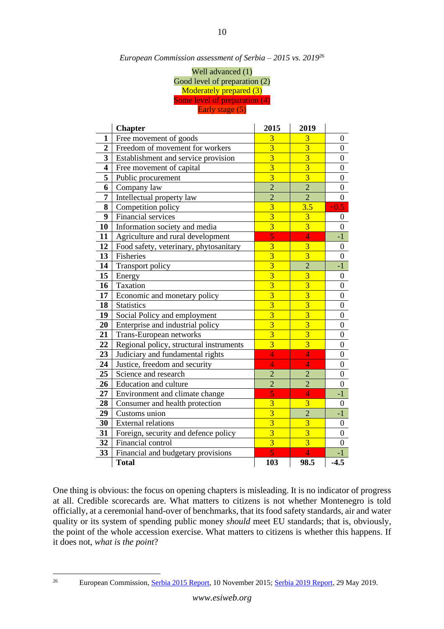| European Commission assessment of Serbia – 2015 vs. 2019 $^{26}$ |  |  |  |
|------------------------------------------------------------------|--|--|--|
|------------------------------------------------------------------|--|--|--|

Well advanced (1) Good level of preparation (2) Moderately prepared (3) Some level of preparation (4) Early stage (5)

|                         | <b>Chapter</b>                          | 2015           | 2019                    |                  |
|-------------------------|-----------------------------------------|----------------|-------------------------|------------------|
| 1                       | Free movement of goods                  | 3              | 3                       | $\overline{0}$   |
| $\overline{2}$          | Freedom of movement for workers         | $\overline{3}$ | $\overline{3}$          | $\boldsymbol{0}$ |
| 3                       | Establishment and service provision     |                | $\overline{3}$          | $\boldsymbol{0}$ |
| $\overline{\mathbf{4}}$ | Free movement of capital                | $\overline{3}$ | $\overline{3}$          | $\boldsymbol{0}$ |
| 5                       | Public procurement                      | $\overline{3}$ | $\overline{3}$          | $\boldsymbol{0}$ |
| 6                       | Company law                             | $\overline{2}$ | $\overline{2}$          | $\boldsymbol{0}$ |
| 7                       | Intellectual property law               | $\overline{2}$ | $\overline{2}$          | $\boldsymbol{0}$ |
| 8                       | Competition policy                      | $\overline{3}$ | 3.5                     | $+0.5$           |
| 9                       | Financial services                      | $\overline{3}$ | $\overline{3}$          | $\boldsymbol{0}$ |
| 10                      | Information society and media           | $\overline{3}$ | $\overline{3}$          | $\overline{0}$   |
| 11                      | Agriculture and rural development       | $\overline{5}$ | $\overline{4}$          | $-1$             |
| 12                      | Food safety, veterinary, phytosanitary  | $\overline{3}$ | $\overline{\mathbf{3}}$ | $\boldsymbol{0}$ |
| 13                      | <b>Fisheries</b>                        | $\overline{3}$ | $\overline{3}$          | $\boldsymbol{0}$ |
| 14                      | Transport policy                        | $\overline{3}$ | $\overline{2}$          | $-1$             |
| 15                      | Energy                                  | $\overline{3}$ | $\overline{3}$          | $\boldsymbol{0}$ |
| 16                      | Taxation                                | $\overline{3}$ | $\overline{3}$          | $\boldsymbol{0}$ |
| 17                      | Economic and monetary policy            | $\overline{3}$ | $\overline{3}$          | $\boldsymbol{0}$ |
| 18                      | <b>Statistics</b>                       | $\overline{3}$ | $\overline{3}$          | $\boldsymbol{0}$ |
| 19                      | Social Policy and employment            | $\overline{3}$ | $\overline{\mathbf{3}}$ | $\boldsymbol{0}$ |
| 20                      | Enterprise and industrial policy        | $\overline{3}$ | $\overline{3}$          | $\boldsymbol{0}$ |
| 21                      | Trans-European networks                 | $\overline{3}$ | $\overline{\mathbf{3}}$ | $\boldsymbol{0}$ |
| 22                      | Regional policy, structural instruments | $\overline{3}$ | $\overline{3}$          | $\overline{0}$   |
| 23                      | Judiciary and fundamental rights        | $\overline{4}$ | $\overline{4}$          | $\boldsymbol{0}$ |
| 24                      | Justice, freedom and security           | 4              | $\overline{4}$          | $\boldsymbol{0}$ |
| 25                      | Science and research                    | $\overline{2}$ | $\overline{2}$          | $\boldsymbol{0}$ |
| 26                      | Education and culture                   | $\overline{2}$ | $\overline{2}$          | $\boldsymbol{0}$ |
| 27                      | Environment and climate change          | $\overline{5}$ | $\overline{4}$          | $-1$             |
| 28                      | Consumer and health protection          | $\overline{3}$ | $\overline{3}$          | $\overline{0}$   |
| 29                      | Customs union                           | $\overline{3}$ | $\overline{2}$          | $-1$             |
| 30                      | <b>External relations</b>               | $\overline{3}$ | $\overline{3}$          | $\boldsymbol{0}$ |
| 31                      | Foreign, security and defence policy    | $\overline{3}$ | $\overline{3}$          | $\boldsymbol{0}$ |
| 32                      | Financial control                       | $\overline{3}$ | $\overline{3}$          | $\overline{0}$   |
| 33                      | Financial and budgetary provisions      | 5              | $\overline{4}$          | -1               |
|                         | <b>Total</b>                            | 103            | 98.5                    | $-4.5$           |

One thing is obvious: the focus on opening chapters is misleading. It is no indicator of progress at all. Credible scorecards are. What matters to citizens is not whether Montenegro is told officially, at a ceremonial hand-over of benchmarks, that its food safety standards, air and water quality or its system of spending public money *should* meet EU standards; that is, obviously, the point of the whole accession exercise. What matters to citizens is whether this happens. If it does not, *what is the point*?

<sup>&</sup>lt;sup>26</sup> European Commission, [Serbia 2015 Report,](https://ec.europa.eu/neighbourhood-enlargement/sites/near/files/pdf/key_documents/2015/20151110_report_serbia.pdf) 10 November 2015; [Serbia 2019 Report,](https://ec.europa.eu/neighbourhood-enlargement/sites/near/files/20190529-serbia-report.pdf) 29 May 2019.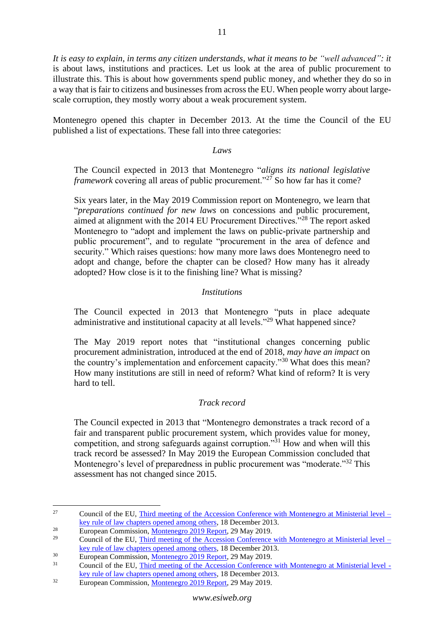*It is easy to explain, in terms any citizen understands, what it means to be "well advanced": it* is about laws, institutions and practices. Let us look at the area of public procurement to illustrate this. This is about how governments spend public money, and whether they do so in a way that is fair to citizens and businesses from across the EU. When people worry about largescale corruption, they mostly worry about a weak procurement system.

Montenegro opened this chapter in December 2013. At the time the Council of the EU published a list of expectations. These fall into three categories:

#### *Laws*

The Council expected in 2013 that Montenegro "*aligns its national legislative framework* covering all areas of public procurement."<sup>27</sup> So how far has it come?

Six years later, in the May 2019 Commission report on Montenegro, we learn that "*preparations continued for new laws* on concessions and public procurement, aimed at alignment with the 2014 EU Procurement Directives."<sup>28</sup> The report asked Montenegro to "adopt and implement the laws on public-private partnership and public procurement", and to regulate "procurement in the area of defence and security." Which raises questions: how many more laws does Montenegro need to adopt and change, before the chapter can be closed? How many has it already adopted? How close is it to the finishing line? What is missing?

## *Institutions*

The Council expected in 2013 that Montenegro "puts in place adequate administrative and institutional capacity at all levels."<sup>29</sup> What happened since?

The May 2019 report notes that "institutional changes concerning public procurement administration, introduced at the end of 2018, *may have an impact* on the country's implementation and enforcement capacity."<sup>30</sup> What does this mean? How many institutions are still in need of reform? What kind of reform? It is very hard to tell.

# *Track record*

The Council expected in 2013 that "Montenegro demonstrates a track record of a fair and transparent public procurement system, which provides value for money, competition, and strong safeguards against corruption."<sup>31</sup> How and when will this track record be assessed? In May 2019 the European Commission concluded that Montenegro's level of preparedness in public procurement was "moderate."<sup>32</sup> This assessment has not changed since 2015.

<sup>&</sup>lt;sup>27</sup> Council of the EU, [Third meeting of the Accession Conference with Montenegro at Ministerial level –](http://data.consilium.europa.eu/doc/document/ST-17964-2013-INIT/en/pdf) [key rule of law chapters opened among others,](http://data.consilium.europa.eu/doc/document/ST-17964-2013-INIT/en/pdf) 18 December 2013.

<sup>&</sup>lt;sup>28</sup> European Commission, <u>Montenegro 2019 Report</u>, 29 May 2019.

Council of the EU, [Third meeting of the Accession Conference with Montenegro at Ministerial level –](http://data.consilium.europa.eu/doc/document/ST-17964-2013-INIT/en/pdf) [key rule of law chapters opened among others,](http://data.consilium.europa.eu/doc/document/ST-17964-2013-INIT/en/pdf) 18 December 2013.

<sup>&</sup>lt;sup>30</sup><br>European Commission, <u>Montenegro 2019 Report</u>, 29 May 2019.

<sup>31</sup> Council of the EU, [Third meeting of the Accession Conference with Montenegro at Ministerial level](http://data.consilium.europa.eu/doc/document/ST-17964-2013-INIT/en/pdf)  key [rule of law chapters opened among others,](http://data.consilium.europa.eu/doc/document/ST-17964-2013-INIT/en/pdf) 18 December 2013.

<sup>&</sup>lt;sup>32</sup> European Commission[, Montenegro 2019 Report,](https://ec.europa.eu/neighbourhood-enlargement/sites/near/files/20190529-montenegro-report.pdf) 29 May 2019.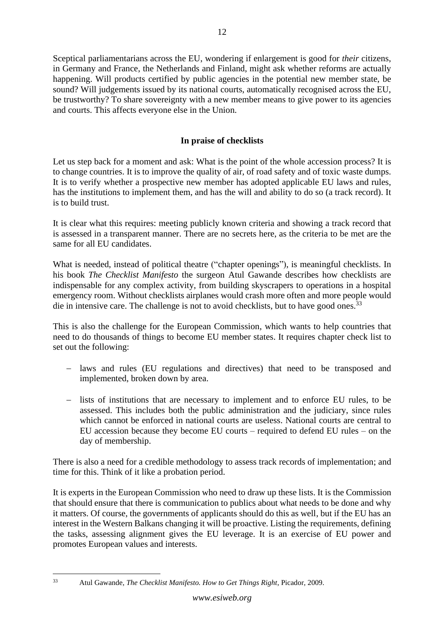Sceptical parliamentarians across the EU, wondering if enlargement is good for *their* citizens, in Germany and France, the Netherlands and Finland, might ask whether reforms are actually happening. Will products certified by public agencies in the potential new member state, be sound? Will judgements issued by its national courts, automatically recognised across the EU, be trustworthy? To share sovereignty with a new member means to give power to its agencies and courts. This affects everyone else in the Union.

# **In praise of checklists**

<span id="page-11-0"></span>Let us step back for a moment and ask: What is the point of the whole accession process? It is to change countries. It is to improve the quality of air, of road safety and of toxic waste dumps. It is to verify whether a prospective new member has adopted applicable EU laws and rules, has the institutions to implement them, and has the will and ability to do so (a track record). It is to build trust.

It is clear what this requires: meeting publicly known criteria and showing a track record that is assessed in a transparent manner. There are no secrets here, as the criteria to be met are the same for all EU candidates.

What is needed, instead of political theatre ("chapter openings"), is meaningful checklists. In his book *The Checklist Manifesto* the surgeon Atul Gawande describes how checklists are indispensable for any complex activity, from building skyscrapers to operations in a hospital emergency room. Without checklists airplanes would crash more often and more people would die in intensive care. The challenge is not to avoid checklists, but to have good ones.<sup>33</sup>

This is also the challenge for the European Commission, which wants to help countries that need to do thousands of things to become EU member states. It requires chapter check list to set out the following:

- − laws and rules (EU regulations and directives) that need to be transposed and implemented, broken down by area.
- − lists of institutions that are necessary to implement and to enforce EU rules, to be assessed. This includes both the public administration and the judiciary, since rules which cannot be enforced in national courts are useless. National courts are central to EU accession because they become EU courts – required to defend EU rules – on the day of membership.

There is also a need for a credible methodology to assess track records of implementation; and time for this. Think of it like a probation period.

It is experts in the European Commission who need to draw up these lists. It is the Commission that should ensure that there is communication to publics about what needs to be done and why it matters. Of course, the governments of applicants should do this as well, but if the EU has an interest in the Western Balkans changing it will be proactive. Listing the requirements, defining the tasks, assessing alignment gives the EU leverage. It is an exercise of EU power and promotes European values and interests.

<sup>33</sup> Atul Gawande, *The Checklist Manifesto. How to Get Things Right*, Picador, 2009.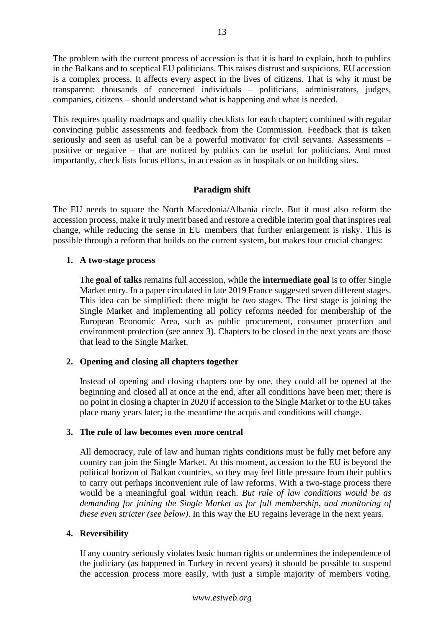The problem with the current process of accession is that it is hard to explain, both to publics in the Balkans and to sceptical EU politicians. This raises distrust and suspicions. EU accession is a complex process. It affects every aspect in the lives of citizens. That is why it must be transparent: thousands of concerned individuals – politicians, administrators, judges, companies, citizens – should understand what is happening and what is needed.

This requires quality roadmaps and quality checklists for each chapter; combined with regular convincing public assessments and feedback from the Commission. Feedback that is taken seriously and seen as useful can be a powerful motivator for civil servants. Assessments – positive or negative – that are noticed by publics can be useful for politicians. And most importantly, check lists focus efforts, in accession as in hospitals or on building sites.

# **Paradigm shift**

<span id="page-12-0"></span>The EU needs to square the North Macedonia/Albania circle. But it must also reform the accession process, make it truly merit based and restore a credible interim goal that inspires real change, while reducing the sense in EU members that further enlargement is risky. This is possible through a reform that builds on the current system, but makes four crucial changes:

# **1. A two-stage process**

The **goal of talks** remains full accession, while the **intermediate goal** is to offer Single Market entry. In a paper circulated in late 2019 France suggested seven different stages. This idea can be simplified: there might be *two* stages. The first stage is joining the Single Market and implementing all policy reforms needed for membership of the European Economic Area, such as public procurement, consumer protection and environment protection (see annex 3). Chapters to be closed in the next years are those that lead to the Single Market.

# **2. Opening and closing all chapters together**

Instead of opening and closing chapters one by one, they could all be opened at the beginning and closed all at once at the end, after all conditions have been met; there is no point in closing a chapter in 2020 if accession to the Single Market or to the EU takes place many years later; in the meantime the acquis and conditions will change.

## **3. The rule of law becomes even more central**

All democracy, rule of law and human rights conditions must be fully met before any country can join the Single Market. At this moment, accession to the EU is beyond the political horizon of Balkan countries, so they may feel little pressure from their publics to carry out perhaps inconvenient rule of law reforms. With a two-stage process there would be a meaningful goal within reach. *But rule of law conditions would be as demanding for joining the Single Market as for full membership, and monitoring of these even stricter (see below)*. In this way the EU regains leverage in the next years.

## **4. Reversibility**

If any country seriously violates basic human rights or undermines the independence of the judiciary (as happened in Turkey in recent years) it should be possible to suspend the accession process more easily, with just a simple majority of members voting.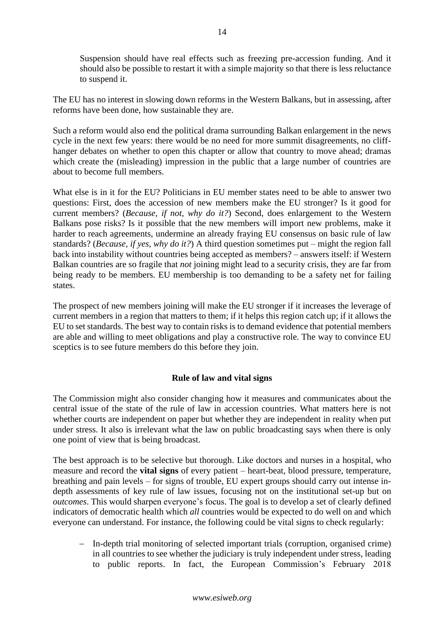Suspension should have real effects such as freezing pre-accession funding. And it should also be possible to restart it with a simple majority so that there is less reluctance to suspend it.

The EU has no interest in slowing down reforms in the Western Balkans, but in assessing, after reforms have been done, how sustainable they are.

Such a reform would also end the political drama surrounding Balkan enlargement in the news cycle in the next few years: there would be no need for more summit disagreements, no cliffhanger debates on whether to open this chapter or allow that country to move ahead; dramas which create the (misleading) impression in the public that a large number of countries are about to become full members.

What else is in it for the EU? Politicians in EU member states need to be able to answer two questions: First, does the accession of new members make the EU stronger? Is it good for current members? (*Because, if not, why do it?*) Second, does enlargement to the Western Balkans pose risks? Is it possible that the new members will import new problems, make it harder to reach agreements, undermine an already fraying EU consensus on basic rule of law standards? (*Because, if yes, why do it?*) A third question sometimes put – might the region fall back into instability without countries being accepted as members? – answers itself: if Western Balkan countries are so fragile that *not* joining might lead to a security crisis, they are far from being ready to be members. EU membership is too demanding to be a safety net for failing states.

The prospect of new members joining will make the EU stronger if it increases the leverage of current members in a region that matters to them; if it helps this region catch up; if it allows the EU to set standards. The best way to contain risks is to demand evidence that potential members are able and willing to meet obligations and play a constructive role. The way to convince EU sceptics is to see future members do this before they join.

## **Rule of law and vital signs**

<span id="page-13-0"></span>The Commission might also consider changing how it measures and communicates about the central issue of the state of the rule of law in accession countries. What matters here is not whether courts are independent on paper but whether they are independent in reality when put under stress. It also is irrelevant what the law on public broadcasting says when there is only one point of view that is being broadcast.

The best approach is to be selective but thorough. Like doctors and nurses in a hospital, who measure and record the **vital signs** of every patient – heart-beat, blood pressure, temperature, breathing and pain levels – for signs of trouble, EU expert groups should carry out intense indepth assessments of key rule of law issues, focusing not on the institutional set-up but on *outcomes*. This would sharpen everyone's focus. The goal is to develop a set of clearly defined indicators of democratic health which *all* countries would be expected to do well on and which everyone can understand. For instance, the following could be vital signs to check regularly:

− In-depth trial monitoring of selected important trials (corruption, organised crime) in all countries to see whether the judiciary is truly independent under stress, leading to public reports. In fact, the European Commission's February 2018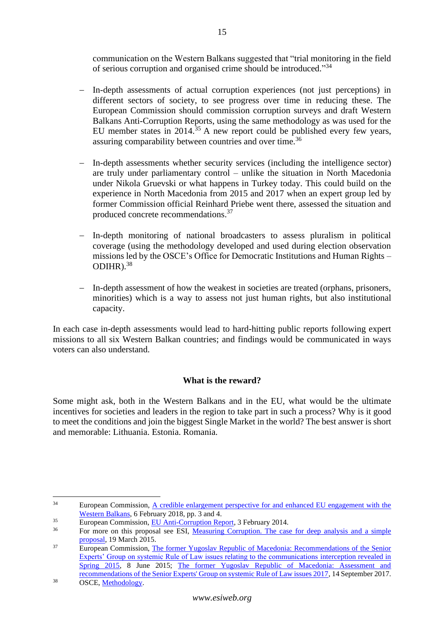communication on the Western Balkans suggested that "trial monitoring in the field of serious corruption and organised crime should be introduced."34

- − In-depth assessments of actual corruption experiences (not just perceptions) in different sectors of society, to see progress over time in reducing these. The European Commission should commission corruption surveys and draft Western Balkans Anti-Corruption Reports, using the same methodology as was used for the EU member states in 2014.<sup>35</sup> A new report could be published every few years, assuring comparability between countries and over time.<sup>36</sup>
- In-depth assessments whether security services (including the intelligence sector) are truly under parliamentary control – unlike the situation in North Macedonia under Nikola Gruevski or what happens in Turkey today. This could build on the experience in North Macedonia from 2015 and 2017 when an expert group led by former Commission official Reinhard Priebe went there, assessed the situation and produced concrete recommendations.<sup>37</sup>
- In-depth monitoring of national broadcasters to assess pluralism in political coverage (using the methodology developed and used during election observation missions led by the OSCE's Office for Democratic Institutions and Human Rights – ODIHR). $38$
- − In-depth assessment of how the weakest in societies are treated (orphans, prisoners, minorities) which is a way to assess not just human rights, but also institutional capacity.

In each case in-depth assessments would lead to hard-hitting public reports following expert missions to all six Western Balkan countries; and findings would be communicated in ways voters can also understand.

# **What is the reward?**

<span id="page-14-0"></span>Some might ask, both in the Western Balkans and in the EU, what would be the ultimate incentives for societies and leaders in the region to take part in such a process? Why is it good to meet the conditions and join the biggest Single Market in the world? The best answer is short and memorable: Lithuania. Estonia. Romania.

<sup>&</sup>lt;sup>34</sup> European Commission, A credible enlargement perspective for and enhanced EU engagement with the [Western Balkans,](https://ec.europa.eu/commission/sites/beta-political/files/communication-credible-enlargement-perspective-western-balkans_en.pdf) 6 February 2018, pp. 3 and 4.

 $\frac{35}{20}$  European Commission, <u>EU Anti-Corruption Report</u>, 3 February 2014.

For more on this proposal see ESI, Measuring Corruption. The case for deep analysis and a simple [proposal,](https://www.esiweb.org/pdf/esi_document_id_162.pdf) 19 March 2015.

<sup>&</sup>lt;sup>37</sup> European Commission, The former Yugoslav Republic of Macedonia: Recommendations of the Senior [Experts' Group on systemic Rule of Law issues relating to the communications](https://ec.europa.eu/neighbourhood-enlargement/sites/near/files/news_corner/news/news-files/20150619_recommendations_of_the_senior_experts_group.pdf) interception revealed in [Spring 2015,](https://ec.europa.eu/neighbourhood-enlargement/sites/near/files/news_corner/news/news-files/20150619_recommendations_of_the_senior_experts_group.pdf) 8 June 2015; [The former Yugoslav Republic of Macedonia: Assessment and](https://ec.europa.eu/neighbourhood-enlargement/sites/near/files/2017.09.14_seg_report_on_systemic_rol_issues_for_publication.pdf)  [recommendations of the Senior Experts' Group on systemic Rule of Law issues 2017,](https://ec.europa.eu/neighbourhood-enlargement/sites/near/files/2017.09.14_seg_report_on_systemic_rol_issues_for_publication.pdf) 14 September 2017.

<sup>38</sup> OSCE, [Methodology.](https://www.osce.org/odihr/elections/methodology)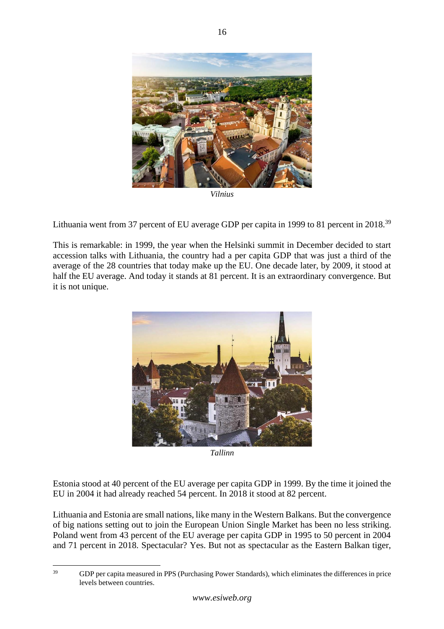

*Vilnius* 

Lithuania went from 37 percent of EU average GDP per capita in 1999 to 81 percent in 2018.<sup>39</sup>

This is remarkable: in 1999, the year when the Helsinki summit in December decided to start accession talks with Lithuania, the country had a per capita GDP that was just a third of the average of the 28 countries that today make up the EU. One decade later, by 2009, it stood at half the EU average. And today it stands at 81 percent. It is an extraordinary convergence. But it is not unique.



*Tallinn*

Estonia stood at 40 percent of the EU average per capita GDP in 1999. By the time it joined the EU in 2004 it had already reached 54 percent. In 2018 it stood at 82 percent.

Lithuania and Estonia are small nations, like many in the Western Balkans. But the convergence of big nations setting out to join the European Union Single Market has been no less striking. Poland went from 43 percent of the EU average per capita GDP in 1995 to 50 percent in 2004 and 71 percent in 2018. Spectacular? Yes. But not as spectacular as the Eastern Balkan tiger,

<sup>&</sup>lt;sup>39</sup> GDP per capita measured in PPS (Purchasing Power Standards), which eliminates the differences in price levels between countries.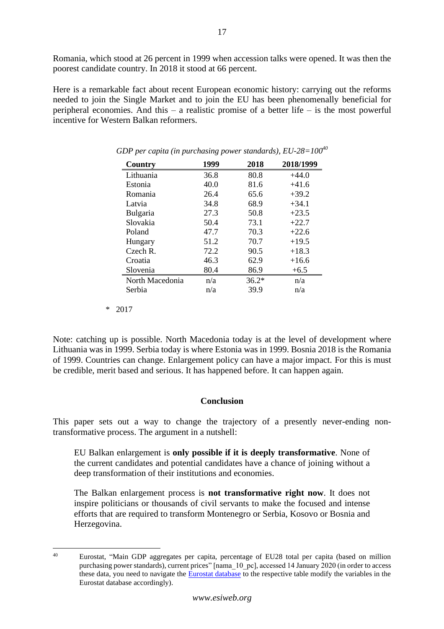Romania, which stood at 26 percent in 1999 when accession talks were opened. It was then the poorest candidate country. In 2018 it stood at 66 percent.

Here is a remarkable fact about recent European economic history: carrying out the reforms needed to join the Single Market and to join the EU has been phenomenally beneficial for peripheral economies. And this – a realistic promise of a better life – is the most powerful incentive for Western Balkan reformers.

| Country         | 1999 | 2018    | 2018/1999 |
|-----------------|------|---------|-----------|
| Lithuania       | 36.8 | 80.8    | $+44.0$   |
| Estonia         | 40.0 | 81.6    | $+41.6$   |
| Romania         | 26.4 | 65.6    | $+39.2$   |
| Latvia          | 34.8 | 68.9    | $+34.1$   |
| Bulgaria        | 27.3 | 50.8    | $+23.5$   |
| Slovakia        | 50.4 | 73.1    | $+22.7$   |
| Poland          | 47.7 | 70.3    | $+22.6$   |
| Hungary         | 51.2 | 70.7    | $+19.5$   |
| $C$ zech R.     | 72.2 | 90.5    | $+18.3$   |
| Croatia         | 46.3 | 62.9    | $+16.6$   |
| Slovenia        | 80.4 | 86.9    | $+6.5$    |
| North Macedonia | n/a  | $36.2*$ | n/a       |
| Serbia          | n/a  | 39.9    | n/a       |

*GDP per capita (in purchasing power standards), EU-28=100<sup>40</sup>*

\* 2017

Note: catching up is possible. North Macedonia today is at the level of development where Lithuania was in 1999. Serbia today is where Estonia was in 1999. Bosnia 2018 is the Romania of 1999. Countries can change. Enlargement policy can have a major impact. For this is must be credible, merit based and serious. It has happened before. It can happen again.

# **Conclusion**

<span id="page-16-0"></span>This paper sets out a way to change the trajectory of a presently never-ending nontransformative process. The argument in a nutshell:

EU Balkan enlargement is **only possible if it is deeply transformative**. None of the current candidates and potential candidates have a chance of joining without a deep transformation of their institutions and economies.

The Balkan enlargement process is **not transformative right now**. It does not inspire politicians or thousands of civil servants to make the focused and intense efforts that are required to transform Montenegro or Serbia, Kosovo or Bosnia and Herzegovina.

<sup>40</sup> Eurostat, "Main GDP aggregates per capita, percentage of EU28 total per capita (based on million purchasing power standards), current prices" [nama\_10\_pc], accessed 14 January 2020 (in order to access these data, you need to navigate the [Eurostat database](https://ec.europa.eu/eurostat/data/database) to the respective table modify the variables in the Eurostat database accordingly).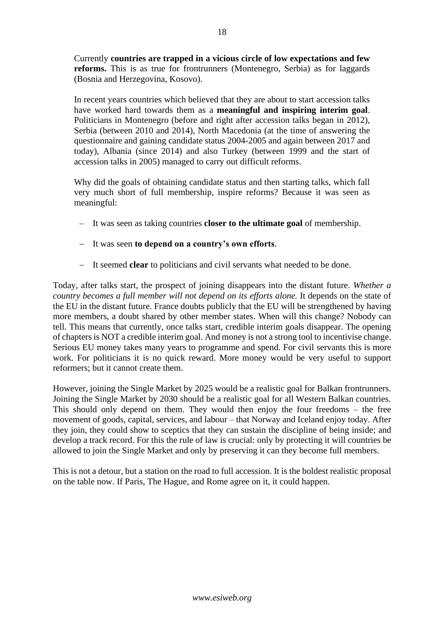Currently **countries are trapped in a vicious circle of low expectations and few reforms.** This is as true for frontrunners (Montenegro, Serbia) as for laggards (Bosnia and Herzegovina, Kosovo).

In recent years countries which believed that they are about to start accession talks have worked hard towards them as a **meaningful and inspiring interim goal**. Politicians in Montenegro (before and right after accession talks began in 2012), Serbia (between 2010 and 2014), North Macedonia (at the time of answering the questionnaire and gaining candidate status 2004-2005 and again between 2017 and today), Albania (since 2014) and also Turkey (between 1999 and the start of accession talks in 2005) managed to carry out difficult reforms.

Why did the goals of obtaining candidate status and then starting talks, which fall very much short of full membership, inspire reforms? Because it was seen as meaningful:

- − It was seen as taking countries **closer to the ultimate goal** of membership.
- − It was seen **to depend on a country's own efforts**.
- − It seemed **clear** to politicians and civil servants what needed to be done.

Today, after talks start, the prospect of joining disappears into the distant future. *Whether a country becomes a full member will not depend on its efforts alone.* It depends on the state of the EU in the distant future. France doubts publicly that the EU will be strengthened by having more members, a doubt shared by other member states. When will this change? Nobody can tell. This means that currently, once talks start, credible interim goals disappear. The opening of chapters is NOT a credible interim goal. And money is not a strong tool to incentivise change. Serious EU money takes many years to programme and spend. For civil servants this is more work. For politicians it is no quick reward. More money would be very useful to support reformers; but it cannot create them.

However, joining the Single Market by 2025 would be a realistic goal for Balkan frontrunners. Joining the Single Market by 2030 should be a realistic goal for all Western Balkan countries. This should only depend on them. They would then enjoy the four freedoms – the free movement of goods, capital, services, and labour – that Norway and Iceland enjoy today. After they join, they could show to sceptics that they can sustain the discipline of being inside; and develop a track record. For this the rule of law is crucial: only by protecting it will countries be allowed to join the Single Market and only by preserving it can they become full members.

This is not a detour, but a station on the road to full accession. It is the boldest realistic proposal on the table now. If Paris, The Hague, and Rome agree on it, it could happen.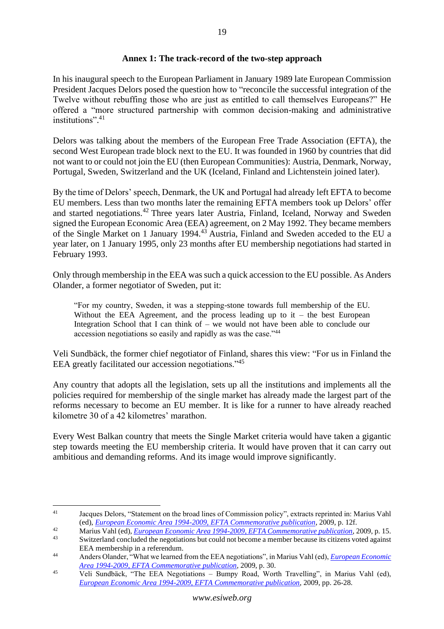# **Annex 1: The track-record of the two-step approach**

<span id="page-18-0"></span>In his inaugural speech to the European Parliament in January 1989 late European Commission President Jacques Delors posed the question how to "reconcile the successful integration of the Twelve without rebuffing those who are just as entitled to call themselves Europeans?" He offered a "more structured partnership with common decision-making and administrative institutions". 41

Delors was talking about the members of the European Free Trade Association (EFTA), the second West European trade block next to the EU. It was founded in 1960 by countries that did not want to or could not join the EU (then European Communities): Austria, Denmark, Norway, Portugal, Sweden, Switzerland and the UK (Iceland, Finland and Lichtenstein joined later).

By the time of Delors' speech, Denmark, the UK and Portugal had already left EFTA to become EU members. Less than two months later the remaining EFTA members took up Delors' offer and started negotiations.<sup>42</sup> Three years later Austria, Finland, Iceland, Norway and Sweden signed the European Economic Area (EEA) agreement, on 2 May 1992. They became members of the Single Market on 1 January 1994.<sup>43</sup> Austria, Finland and Sweden acceded to the EU a year later, on 1 January 1995, only 23 months after EU membership negotiations had started in February 1993.

Only through membership in the EEA was such a quick accession to the EU possible. As Anders Olander, a former negotiator of Sweden, put it:

"For my country, Sweden, it was a stepping-stone towards full membership of the EU. Without the EEA Agreement, and the process leading up to  $it -$  the best European Integration School that I can think of – we would not have been able to conclude our accession negotiations so easily and rapidly as was the case."<sup>44</sup>

Veli Sundbäck, the former chief negotiator of Finland, shares this view: "For us in Finland the EEA greatly facilitated our accession negotiations."<sup>45</sup>

Any country that adopts all the legislation, sets up all the institutions and implements all the policies required for membership of the single market has already made the largest part of the reforms necessary to become an EU member. It is like for a runner to have already reached kilometre 30 of a 42 kilometres' marathon.

Every West Balkan country that meets the Single Market criteria would have taken a gigantic step towards meeting the EU membership criteria. It would have proven that it can carry out ambitious and demanding reforms. And its image would improve significantly.

<sup>41</sup> Jacques Delors, "Statement on the broad lines of Commission policy", extracts reprinted in: Marius Vahl (ed), *[European Economic Area 1994-2009, EFTA Commemorative publication](https://www.efta.int/media/publications/efta-commemorative-publications/eea15.pdf)*, 2009, p. 12f.

<sup>42</sup> Marius Vahl (ed), *[European Economic Area 1994-2009, EFTA Commemorative publication](https://www.efta.int/media/publications/efta-commemorative-publications/eea15.pdf)*, 2009, p. 15.

Switzerland concluded the negotiations but could not become a member because its citizens voted against EEA membership in a referendum.

<sup>44</sup> Anders Olander, "What we learned from the EEA negotiations", in Marius Vahl (ed), *[European Economic](https://www.efta.int/media/publications/efta-commemorative-publications/eea15.pdf)  [Area 1994-2009, EFTA Commemorative publication](https://www.efta.int/media/publications/efta-commemorative-publications/eea15.pdf)*, 2009, p. 30.

<sup>45</sup> Veli Sundbäck, "The EEA Negotiations – Bumpy Road, Worth Travelling", in Marius Vahl (ed), *[European Economic Area 1994-2009, EFTA](https://www.efta.int/media/publications/efta-commemorative-publications/eea15.pdf) Commemorative publication*, 2009, pp. 26-28.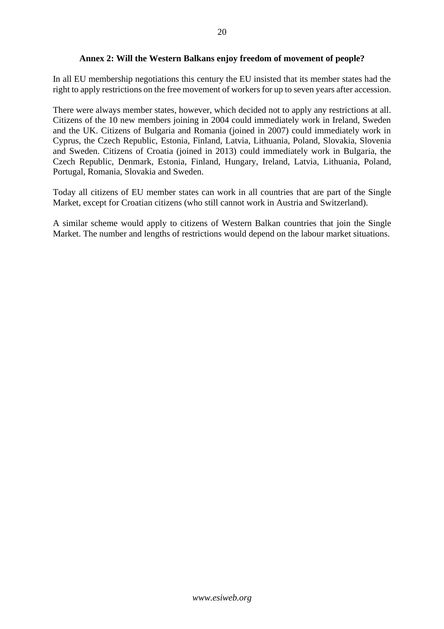# **Annex 2: Will the Western Balkans enjoy freedom of movement of people?**

<span id="page-19-0"></span>In all EU membership negotiations this century the EU insisted that its member states had the right to apply restrictions on the free movement of workers for up to seven years after accession.

There were always member states, however, which decided not to apply any restrictions at all. Citizens of the 10 new members joining in 2004 could immediately work in Ireland, Sweden and the UK. Citizens of Bulgaria and Romania (joined in 2007) could immediately work in Cyprus, the Czech Republic, Estonia, Finland, Latvia, Lithuania, Poland, Slovakia, Slovenia and Sweden. Citizens of Croatia (joined in 2013) could immediately work in Bulgaria, the Czech Republic, Denmark, Estonia, Finland, Hungary, Ireland, Latvia, Lithuania, Poland, Portugal, Romania, Slovakia and Sweden.

Today all citizens of EU member states can work in all countries that are part of the Single Market, except for Croatian citizens (who still cannot work in Austria and Switzerland).

A similar scheme would apply to citizens of Western Balkan countries that join the Single Market. The number and lengths of restrictions would depend on the labour market situations.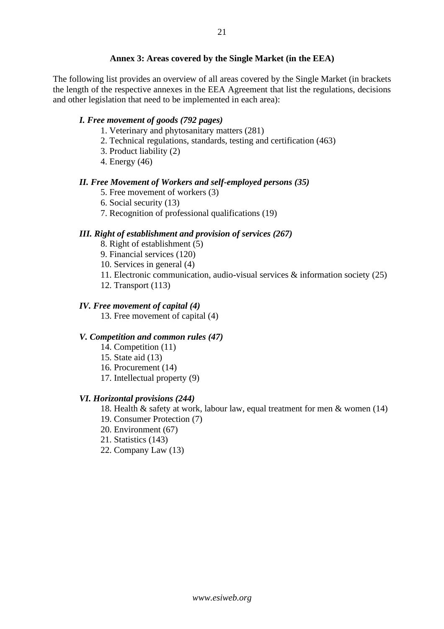## **Annex 3: Areas covered by the Single Market (in the EEA)**

<span id="page-20-0"></span>The following list provides an overview of all areas covered by the Single Market (in brackets the length of the respective annexes in the EEA Agreement that list the regulations, decisions and other legislation that need to be implemented in each area):

# *I. Free movement of goods (792 pages)*

- 1. Veterinary and phytosanitary matters (281)
- 2. Technical regulations, standards, testing and certification (463)
- 3. Product liability (2)
- 4. Energy (46)

#### *II. Free Movement of Workers and self-employed persons (35)*

- 5. Free movement of workers (3)
- 6. Social security (13)
- 7. Recognition of professional qualifications (19)

# *III. Right of establishment and provision of services (267)*

- 8. Right of establishment (5)
- 9. Financial services (120)
- 10. Services in general (4)
- 11. Electronic communication, audio-visual services & information society (25)
- 12. Transport (113)

#### *IV. Free movement of capital (4)*

13. Free movement of capital (4)

#### *V. Competition and common rules (47)*

- 14. Competition (11)
- 15. State aid (13)
- 16. Procurement (14)
- 17. Intellectual property (9)

#### *VI. Horizontal provisions (244)*

18. Health & safety at work, labour law, equal treatment for men & women (14)

- 19. Consumer Protection (7)
- 20. Environment (67)
- 21. Statistics (143)
- 22. Company Law (13)